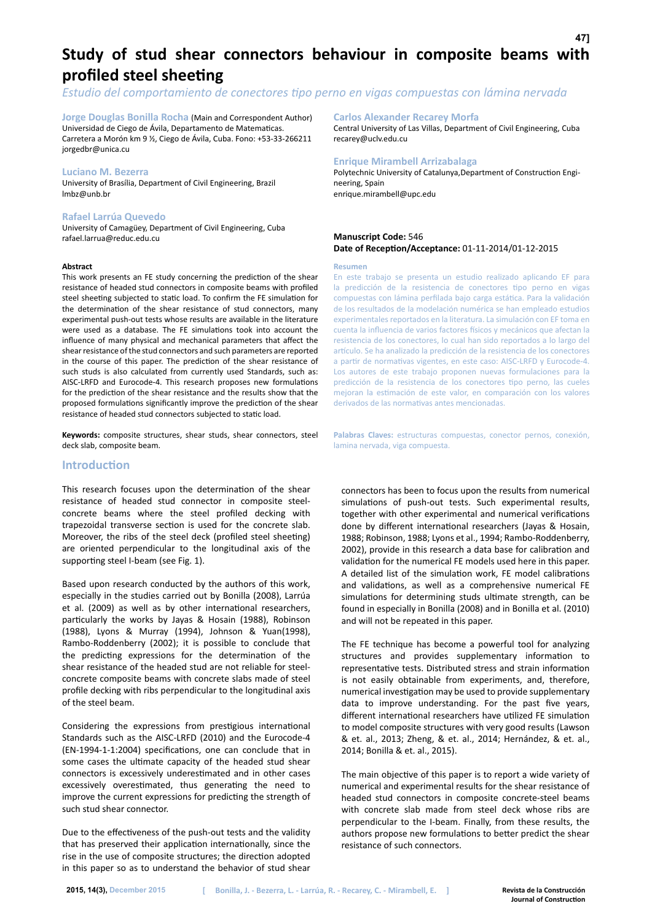# **Study of stud shear connectors behaviour in composite beams with profiled steel sheeting**

*Estudio del comportamiento de conectores tipo perno en vigas compuestas con lámina nervada*

**Jorge Douglas Bonilla Rocha** (Main and Correspondent Author) Universidad de Ciego de Ávila, Departamento de Matematicas. Carretera a Morón km 9 ½, Ciego de Ávila, Cuba. Fono: +53-33-266211 jorgedbr@unica.cu

#### **Luciano M. Bezerra**

University of Brasília, Department of Civil Engineering, Brazil lmbz@unb.br

#### **Rafael Larrúa Quevedo**

University of Camagüey, Department of Civil Engineering, Cuba rafael.larrua@reduc.edu.cu

#### **Abstract**

This work presents an FE study concerning the prediction of the shear resistance of headed stud connectors in composite beams with profiled steel sheeting subjected to static load. To confirm the FE simulation for the determination of the shear resistance of stud connectors, many experimental push-out tests whose results are available in the literature were used as a database. The FE simulations took into account the influence of many physical and mechanical parameters that affect the shear resistance of the stud connectors and such parameters are reported in the course of this paper. The prediction of the shear resistance of such studs is also calculated from currently used Standards, such as: AISC-LRFD and Eurocode-4. This research proposes new formulations for the prediction of the shear resistance and the results show that the proposed formulations significantly improve the prediction of the shear resistance of headed stud connectors subjected to static load.

**Keywords:** composite structures, shear studs, shear connectors, steel deck slab, composite beam.

# **Introduction**

This research focuses upon the determination of the shear resistance of headed stud connector in composite steelconcrete beams where the steel profiled decking with trapezoidal transverse section is used for the concrete slab. Moreover, the ribs of the steel deck (profiled steel sheeting) are oriented perpendicular to the longitudinal axis of the supporting steel I-beam (see Fig. 1).

Based upon research conducted by the authors of this work, especially in the studies carried out by Bonilla (2008), Larrúa et al. (2009) as well as by other international researchers, particularly the works by Jayas & Hosain (1988), Robinson (1988), Lyons & Murray (1994), Johnson & Yuan(1998), Rambo-Roddenberry (2002); it is possible to conclude that the predicting expressions for the determination of the shear resistance of the headed stud are not reliable for steelconcrete composite beams with concrete slabs made of steel profile decking with ribs perpendicular to the longitudinal axis of the steel beam.

Considering the expressions from prestigious international Standards such as the AISC-LRFD (2010) and the Eurocode-4 (EN-1994-1-1:2004) specifications, one can conclude that in some cases the ultimate capacity of the headed stud shear connectors is excessively underestimated and in other cases excessively overestimated, thus generating the need to improve the current expressions for predicting the strength of such stud shear connector.

Due to the effectiveness of the push-out tests and the validity that has preserved their application internationally, since the rise in the use of composite structures; the direction adopted in this paper so as to understand the behavior of stud shear

# **Carlos Alexander Recarey Morfa**

Central University of Las Villas, Department of Civil Engineering, Cuba recarey@uclv.edu.cu

#### **Enrique Mirambell Arrizabalaga**

Polytechnic University of Catalunya,Department of Construction Engineering, Spain enrique.mirambell@upc.edu

# **Manuscript Code:** 546 **Date of Reception/Acceptance:** 01-11-2014/01-12-2015

#### **Resumen**

En este trabajo se presenta un estudio realizado aplicando EF para la predicción de la resistencia de conectores tipo perno en vigas compuestas con lámina perfilada bajo carga estática. Para la validación de los resultados de la modelación numérica se han empleado estudios experimentales reportados en la literatura. La simulación con EF toma en cuenta la influencia de varios factores físicos y mecánicos que afectan la resistencia de los conectores, lo cual han sido reportados a lo largo del artículo. Se ha analizado la predicción de la resistencia de los conectores a partir de normativas vigentes, en este caso: AISC-LRFD y Eurocode-4. Los autores de este trabajo proponen nuevas formulaciones para la predicción de la resistencia de los conectores tipo perno, las cueles mejoran la estimación de este valor, en comparación con los valores derivados de las normativas antes mencionadas.

**Palabras Claves:** estructuras compuestas, conector pernos, conexión, lamina nervada, viga compuesta.

connectors has been to focus upon the results from numerical simulations of push-out tests. Such experimental results, together with other experimental and numerical verifications done by different international researchers (Jayas & Hosain, 1988; Robinson, 1988; Lyons et al., 1994; Rambo-Roddenberry, 2002), provide in this research a data base for calibration and validation for the numerical FE models used here in this paper. A detailed list of the simulation work, FE model calibrations and validations, as well as a comprehensive numerical FE simulations for determining studs ultimate strength, can be found in especially in Bonilla (2008) and in Bonilla et al. (2010) and will not be repeated in this paper.

The FE technique has become a powerful tool for analyzing structures and provides supplementary information to representative tests. Distributed stress and strain information is not easily obtainable from experiments, and, therefore, numerical investigation may be used to provide supplementary data to improve understanding. For the past five years, different international researchers have utilized FE simulation to model composite structures with very good results (Lawson & et. al., 2013; Zheng, & et. al., 2014; Hernández, & et. al., 2014; Bonilla & et. al., 2015).

The main objective of this paper is to report a wide variety of numerical and experimental results for the shear resistance of headed stud connectors in composite concrete-steel beams with concrete slab made from steel deck whose ribs are perpendicular to the I-beam. Finally, from these results, the authors propose new formulations to better predict the shear resistance of such connectors.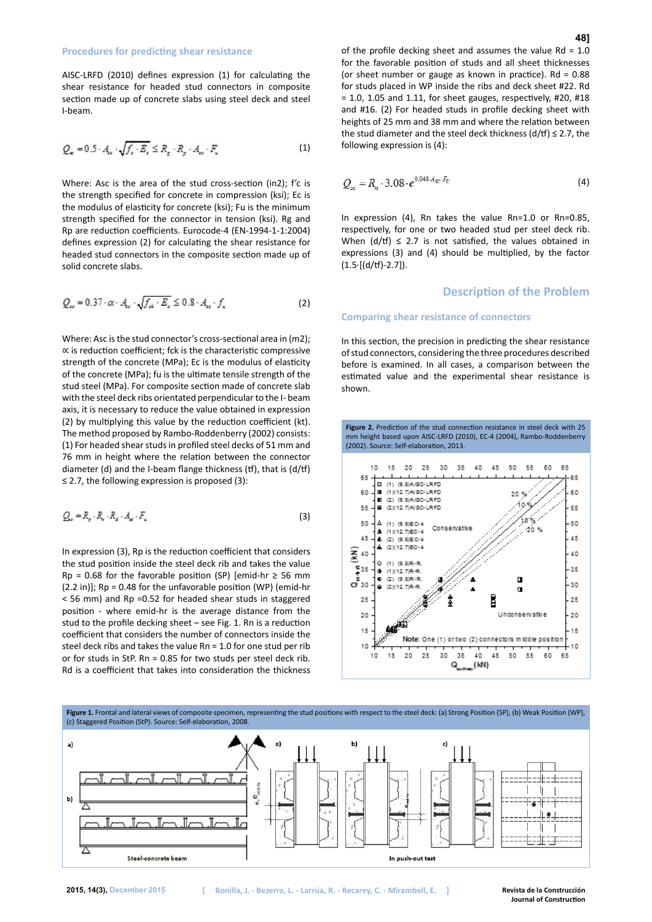AISC-LRFD (2010) defines expression (1) for calculating the shear resistance for headed stud connectors in composite section made up of concrete slabs using steel deck and steel I-beam.

$$
Q_{\kappa}=0.5\cdot A_{\kappa}\cdot\sqrt{f_{\epsilon}\cdot E_{\epsilon}}\leq R_{g}\cdot R_{g}\cdot A_{\kappa}\cdot F_{\kappa} \qquad (1)
$$

Where: Asc is the area of the stud cross-section (in2); f'c is the strength specified for concrete in compression (ksi); Ec is the modulus of elasticity for concrete (ksi); Fu is the minimum strength specified for the connector in tension (ksi). Rg and Rp are reduction coefficients. Eurocode-4 (EN-1994-1-1:2004) defines expression (2) for calculating the shear resistance for headed stud connectors in the composite section made up of solid concrete slabs.

$$
Q_{\rm re} = 0.37 \cdot \alpha \cdot A_{\rm re} \cdot \sqrt{f_{\rm ek} \cdot E_{\rm e}} \le 0.8 \cdot A_{\rm re} \cdot f_{\rm u} \tag{2}
$$

Where: Asc is the stud connector's cross-sectional area in (m2); ∝ is reduction coefficient; fck is the characteristic compressive strength of the concrete (MPa); Ec is the modulus of elasticity of the concrete (MPa); fu is the ultimate tensile strength of the stud steel (MPa). For composite section made of concrete slab with the steel deck ribs orientated perpendicular to the I- beam axis, it is necessary to reduce the value obtained in expression (2) by multiplying this value by the reduction coefficient (kt). The method proposed by Rambo-Roddenberry (2002) consists: (1) For headed shear studs in profiled steel decks of 51 mm and 76 mm in height where the relation between the connector diameter (d) and the I-beam flange thickness (tf), that is (d/tf)  $\leq$  2.7, the following expression is proposed (3):

$$
Q_e = R_p \cdot R_k \cdot R_d \cdot A_w \cdot F_u \tag{3}
$$

In expression (3), Rp is the reduction coefficient that considers the stud position inside the steel deck rib and takes the value Rp = 0.68 for the favorable position (SP) [emid-hr  $\geq$  56 mm (2.2 in)]; Rp = 0.48 for the unfavorable position (WP) (emid-hr < 56 mm) and Rp =0.52 for headed shear studs in staggered position - where emid-hr is the average distance from the stud to the profile decking sheet – see Fig. 1. Rn is a reduction coefficient that considers the number of connectors inside the steel deck ribs and takes the value Rn = 1.0 for one stud per rib or for studs in StP. Rn = 0.85 for two studs per steel deck rib. Rd is a coefficient that takes into consideration the thickness

of the profile decking sheet and assumes the value  $Rd = 1.0$ for the favorable position of studs and all sheet thicknesses (or sheet number or gauge as known in practice).  $Rd = 0.88$ for studs placed in WP inside the ribs and deck sheet #22. Rd  $= 1.0, 1.05$  and 1.11, for sheet gauges, respectively, #20, #18 and #16. (2) For headed studs in profile decking sheet with heights of 25 mm and 38 mm and where the relation between the stud diameter and the steel deck thickness (d/tf)  $\leq$  2.7, the following expression is (4):

$$
Q_{sc} = R_n \cdot 3.08 \cdot e^{0.048 \cdot A_{sc} \cdot F_U} \tag{4}
$$

In expression (4), Rn takes the value Rn=1.0 or Rn=0.85, respectively, for one or two headed stud per steel deck rib. When  $(d/ff) \leq 2.7$  is not satisfied, the values obtained in expressions (3) and (4) should be multiplied, by the factor  $(1.5·[(d/t)-2.7]).$ 

# **Description of the Problem**

#### **Comparing shear resistance of connectors**

In this section, the precision in predicting the shear resistance of stud connectors, considering the three procedures described before is examined. In all cases, a comparison between the estimated value and the experimental shear resistance is shown.



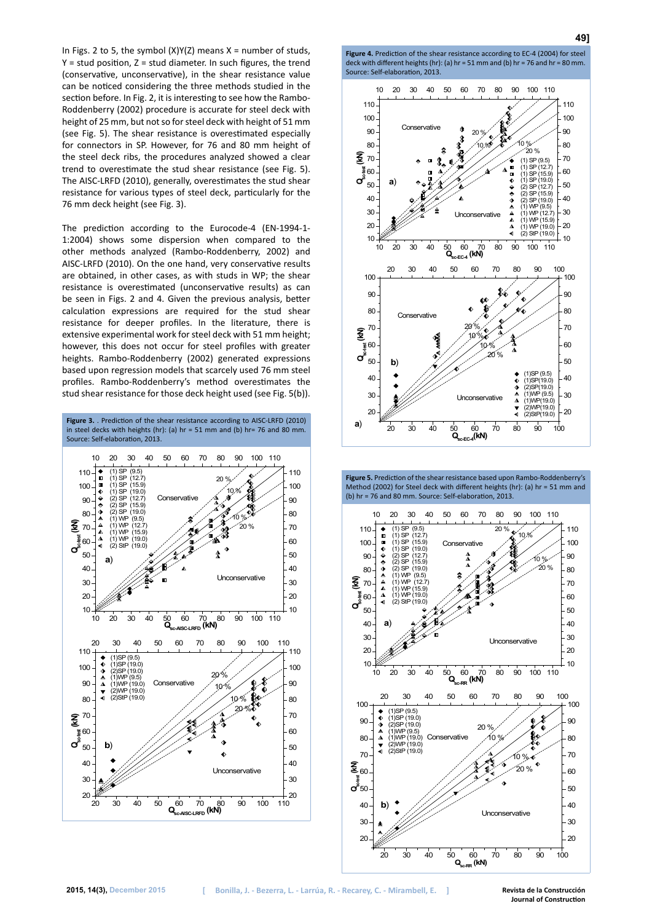In Figs. 2 to 5, the symbol  $(X)Y(Z)$  means  $X =$  number of studs,  $Y =$  stud position,  $Z =$  stud diameter. In such figures, the trend (conservative, unconservative), in the shear resistance value can be noticed considering the three methods studied in the section before. In Fig. 2, it is interesting to see how the Rambo-Roddenberry (2002) procedure is accurate for steel deck with height of 25 mm, but not so for steel deck with height of 51 mm (see Fig. 5). The shear resistance is overestimated especially for connectors in SP. However, for 76 and 80 mm height of the steel deck ribs, the procedures analyzed showed a clear trend to overestimate the stud shear resistance (see Fig. 5). The AISC-LRFD (2010), generally, overestimates the stud shear resistance for various types of steel deck, particularly for the 76 mm deck height (see Fig. 3).

The prediction according to the Eurocode-4 (EN-1994-1- 1:2004) shows some dispersion when compared to the other methods analyzed (Rambo-Roddenberry, 2002) and AISC-LRFD (2010). On the one hand, very conservative results are obtained, in other cases, as with studs in WP; the shear resistance is overestimated (unconservative results) as can be seen in Figs. 2 and 4. Given the previous analysis, better calculation expressions are required for the stud shear resistance for deeper profiles. In the literature, there is extensive experimental work for steel deck with 51 mm height; however, this does not occur for steel profiles with greater heights. Rambo-Roddenberry (2002) generated expressions based upon regression models that scarcely used 76 mm steel profiles. Rambo-Roddenberry's method overestimates the stud shear resistance for those deck height used (see Fig. 5(b)).



**Figure 4.** Prediction of the shear resistance according to EC-4 (2004) for steel deck with different heights (hr): (a) hr = 51 mm and (b) hr = 76 and hr = 80 mm. Source: Self-elaboration, 2013.

**49]**



**Figure 5.** Prediction of the shear resistance based upon Rambo-Roddenberry's Method (2002) for Steel deck with different heights (hr): (a) hr = 51 mm and (b) hr = 76 and 80 mm. Source: Self-elaboration, 2013.

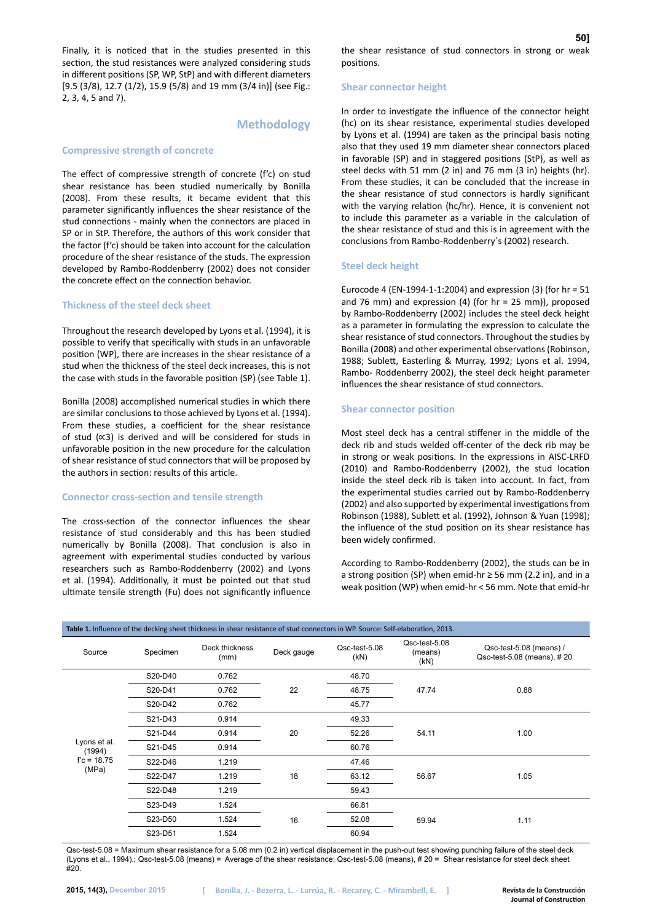Finally, it is noticed that in the studies presented in this section, the stud resistances were analyzed considering studs in different positions (SP, WP, StP) and with different diameters [9.5 (3/8), 12.7 (1/2), 15.9 (5/8) and 19 mm (3/4 in)] (see Fig.: 2, 3, 4, 5 and 7).

# **Methodology**

#### **Compressive strength of concrete**

The effect of compressive strength of concrete (f'c) on stud shear resistance has been studied numerically by Bonilla (2008). From these results, it became evident that this parameter significantly influences the shear resistance of the stud connections - mainly when the connectors are placed in SP or in StP. Therefore, the authors of this work consider that the factor (f'c) should be taken into account for the calculation procedure of the shear resistance of the studs. The expression developed by Rambo-Roddenberry (2002) does not consider the concrete effect on the connection behavior.

# **Thickness of the steel deck sheet**

Throughout the research developed by Lyons et al. (1994), it is possible to verify that specifically with studs in an unfavorable position (WP), there are increases in the shear resistance of a stud when the thickness of the steel deck increases, this is not the case with studs in the favorable position (SP) (see Table 1).

Bonilla (2008) accomplished numerical studies in which there are similar conclusions to those achieved by Lyons et al. (1994). From these studies, a coefficient for the shear resistance of stud (∝3) is derived and will be considered for studs in unfavorable position in the new procedure for the calculation of shear resistance of stud connectors that will be proposed by the authors in section: results of this article.

#### **Connector cross-section and tensile strength**

The cross-section of the connector influences the shear resistance of stud considerably and this has been studied numerically by Bonilla (2008). That conclusion is also in agreement with experimental studies conducted by various researchers such as Rambo-Roddenberry (2002) and Lyons et al. (1994). Additionally, it must be pointed out that stud ultimate tensile strength (Fu) does not significantly influence

#### **Shear connector height**

In order to investigate the influence of the connector height (hc) on its shear resistance, experimental studies developed by Lyons et al. (1994) are taken as the principal basis noting also that they used 19 mm diameter shear connectors placed in favorable (SP) and in staggered positions (StP), as well as steel decks with 51 mm (2 in) and 76 mm (3 in) heights (hr). From these studies, it can be concluded that the increase in the shear resistance of stud connectors is hardly significant with the varying relation (hc/hr). Hence, it is convenient not to include this parameter as a variable in the calculation of the shear resistance of stud and this is in agreement with the conclusions from Rambo-Roddenberry´s (2002) research.

#### **Steel deck height**

Eurocode 4 (EN-1994-1-1:2004) and expression (3) (for hr = 51 and 76 mm) and expression (4) (for hr = 25 mm)), proposed by Rambo-Roddenberry (2002) includes the steel deck height as a parameter in formulating the expression to calculate the shear resistance of stud connectors. Throughout the studies by Bonilla (2008) and other experimental observations (Robinson, 1988; Sublett, Easterling & Murray, 1992; Lyons et al. 1994, Rambo- Roddenberry 2002), the steel deck height parameter influences the shear resistance of stud connectors.

#### **Shear connector position**

Most steel deck has a central stiffener in the middle of the deck rib and studs welded off-center of the deck rib may be in strong or weak positions. In the expressions in AISC-LRFD (2010) and Rambo-Roddenberry (2002), the stud location inside the steel deck rib is taken into account. In fact, from the experimental studies carried out by Rambo-Roddenberry (2002) and also supported by experimental investigations from Robinson (1988), Sublett et al. (1992), Johnson & Yuan (1998); the influence of the stud position on its shear resistance has been widely confirmed.

According to Rambo-Roddenberry (2002), the studs can be in a strong position (SP) when emid-hr ≥ 56 mm (2.2 in), and in a weak position (WP) when emid-hr < 56 mm. Note that emid-hr

| Table 1. Influence of the decking sheet thickness in shear resistance of stud connectors in WP. Source: Self-elaboration, 2013. |          |                        |            |                       |                                  |                                                       |  |
|---------------------------------------------------------------------------------------------------------------------------------|----------|------------------------|------------|-----------------------|----------------------------------|-------------------------------------------------------|--|
| Source                                                                                                                          | Specimen | Deck thickness<br>(mm) | Deck gauge | Qsc-test-5.08<br>(kN) | Qsc-test-5.08<br>(means)<br>(KN) | Qsc-test-5.08 (means) /<br>Qsc-test-5.08 (means), #20 |  |
| Lyons et al.<br>(1994)<br>$fc = 18.75$<br>(MPa)                                                                                 | S20-D40  | 0.762                  | 22         | 48.70                 |                                  | 0.88                                                  |  |
|                                                                                                                                 | S20-D41  | 0.762                  |            | 48.75                 | 47.74                            |                                                       |  |
|                                                                                                                                 | S20-D42  | 0.762                  |            | 45.77                 |                                  |                                                       |  |
|                                                                                                                                 | S21-D43  | 0.914                  | 20         | 49.33                 | 54.11                            | 1.00                                                  |  |
|                                                                                                                                 | S21-D44  | 0.914                  |            | 52.26                 |                                  |                                                       |  |
|                                                                                                                                 | S21-D45  | 0.914                  |            | 60.76                 |                                  |                                                       |  |
|                                                                                                                                 | S22-D46  | 1.219                  | 18         | 47.46                 |                                  | 1.05                                                  |  |
|                                                                                                                                 | S22-D47  | 1.219                  |            | 63.12                 | 56.67                            |                                                       |  |
|                                                                                                                                 | S22-D48  | 1.219                  |            | 59.43                 |                                  |                                                       |  |
|                                                                                                                                 | S23-D49  | 1.524                  | 16         | 66.81                 |                                  | 1.11                                                  |  |
|                                                                                                                                 | S23-D50  | 1.524                  |            | 52.08                 | 59.94                            |                                                       |  |
|                                                                                                                                 | S23-D51  | 1.524                  |            | 60.94                 |                                  |                                                       |  |

Qsc-test-5.08 = Maximum shear resistance for a 5.08 mm (0.2 in) vertical displacement in the push-out test showing punching failure of the steel deck (Lyons et al., 1994).; Qsc-test-5.08 (means) = Average of the shear resistance; Qsc-test-5.08 (means), # 20 = Shear resistance for steel deck sheet #20.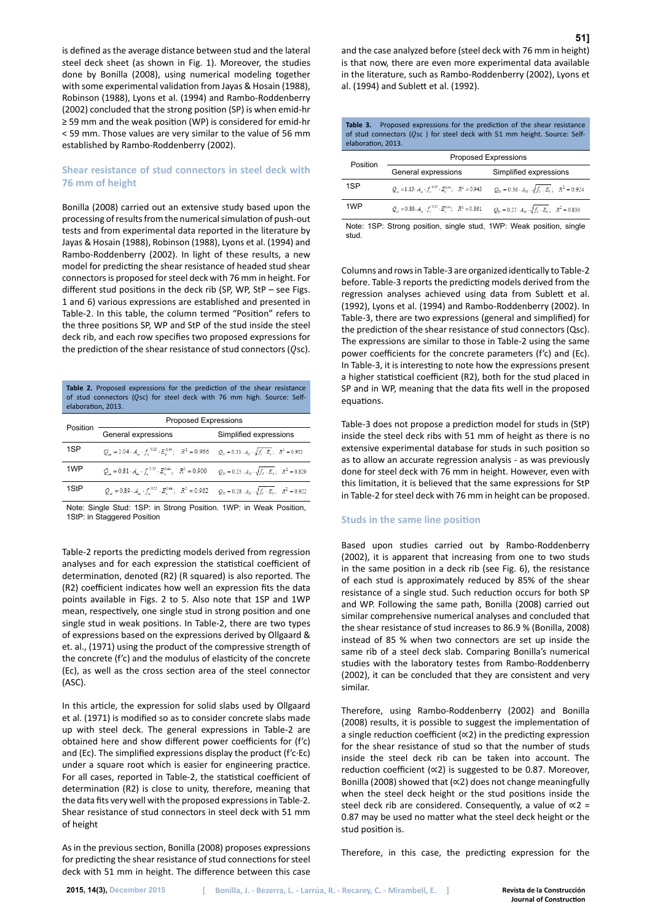is defined as the average distance between stud and the lateral steel deck sheet (as shown in Fig. 1). Moreover, the studies done by Bonilla (2008), using numerical modeling together with some experimental validation from Jayas & Hosain (1988), Robinson (1988), Lyons et al. (1994) and Rambo-Roddenberry (2002) concluded that the strong position (SP) is when emid-hr ≥ 59 mm and the weak position (WP) is considered for emid-hr < 59 mm. Those values are very similar to the value of 56 mm established by Rambo-Roddenberry (2002).

# **Shear resistance of stud connectors in steel deck with 76 mm of height**

Bonilla (2008) carried out an extensive study based upon the processing of results from the numerical simulation of push-out tests and from experimental data reported in the literature by Jayas & Hosain (1988), Robinson (1988), Lyons et al. (1994) and Rambo-Roddenberry (2002). In light of these results, a new model for predicting the shear resistance of headed stud shear connectors is proposed for steel deck with 76 mm in height. For different stud positions in the deck rib (SP, WP, StP – see Figs. 1 and 6) various expressions are established and presented in Table-2. In this table, the column termed "Position" refers to the three positions SP, WP and StP of the stud inside the steel deck rib, and each row specifies two proposed expressions for the prediction of the shear resistance of stud connectors  $(Qsc)$ .

**Table 2.** Proposed expressions for the prediction of the shear resistance of stud connectors ( $Qsc$ ) for steel deck with 76 mm high. Source: Selfelaboration, 2013.

| Position        | <b>Proposed Expressions</b>                                                                                                                                                                      |                                                                         |  |  |  |  |
|-----------------|--------------------------------------------------------------------------------------------------------------------------------------------------------------------------------------------------|-------------------------------------------------------------------------|--|--|--|--|
|                 | General expressions                                                                                                                                                                              | Simplified expressions                                                  |  |  |  |  |
| 1SP             | $Q_{\alpha} = 1.04 \cdot A_{\alpha} \cdot f_{\alpha}^{0.03} \cdot E_{\alpha}^{0.44};$ $R^2 = 0.966$ $Q_{\alpha} = 0.33 \cdot A_{\alpha} \cdot \sqrt{f_{\alpha} \cdot E_{\alpha}};$ $R^2 = 0.952$ |                                                                         |  |  |  |  |
| 1 <sub>WP</sub> | $Q_{1} = 0.81 \cdot A_{1} \cdot f_{1}^{0.35} \cdot E_{1}^{0.44}$ ; $R^{2} = 0.900$                                                                                                               | $Q_w = 0.25 \cdot A_w \cdot \sqrt{f_e \cdot E_e}$ ; $R^2 = 0.820$       |  |  |  |  |
| 1StP            | $Q_{u} = 0.89 \cdot A_{u} \cdot f_{v}^{0.35} \cdot E_{v}^{0.44}$ ; $R^{2} = 0.962$                                                                                                               | $Q_{ze} = 0.28 \cdot A_{ze} \cdot \sqrt{f_e} \cdot E_e$ ; $R^2 = 0.922$ |  |  |  |  |

Note: Single Stud: 1SP: in Strong Position. 1WP: in Weak Position, 1StP: in Staggered Position

Table-2 reports the predicting models derived from regression analyses and for each expression the statistical coefficient of determination, denoted (R2) (R squared) is also reported. The (R2) coefficient indicates how well an expression fits the data points available in Figs. 2 to 5. Also note that 1SP and 1WP mean, respectively, one single stud in strong position and one single stud in weak positions. In Table-2, there are two types of expressions based on the expressions derived by Ollgaard & et. al., (1971) using the product of the compressive strength of the concrete (f'c) and the modulus of elasticity of the concrete (Ec), as well as the cross section area of the steel connector (ASC).

In this article, the expression for solid slabs used by Ollgaard et al. (1971) is modified so as to consider concrete slabs made up with steel deck. The general expressions in Table-2 are obtained here and show different power coefficients for (f'c) and (Ec). The simplified expressions display the product (f'c·Ec) under a square root which is easier for engineering practice. For all cases, reported in Table-2, the statistical coefficient of determination (R2) is close to unity, therefore, meaning that the data fits very well with the proposed expressions in Table-2. Shear resistance of stud connectors in steel deck with 51 mm of height

As in the previous section, Bonilla (2008) proposes expressions for predicting the shear resistance of stud connections for steel deck with 51 mm in height. The difference between this case and the case analyzed before (steel deck with 76 mm in height) is that now, there are even more experimental data available in the literature, such as Rambo-Roddenberry (2002), Lyons et al. (1994) and Sublett et al. (1992).

**Table 3.** Proposed expressions for the prediction of the shear resistance of stud connectors ( $Q$ sc ) for steel deck with 51 mm height. Source: Selfelaboration, 2013.

| Position | <b>Proposed Expressions</b>                                                     |                                                                                 |  |  |  |
|----------|---------------------------------------------------------------------------------|---------------------------------------------------------------------------------|--|--|--|
|          | General expressions                                                             | Simplified expressions                                                          |  |  |  |
| 1SP      | $Q_{u} = 1.13 \cdot A_{u} \cdot f^{333} \cdot E^{0.44}$ ; $R^{2} = 0.943$       | $Q_w = 0.36 \cdot A_w \cdot \sqrt{f_c} \cdot E_c$ ; $R^2 = 0.924$               |  |  |  |
| 1WP      | $Q_{u} = 0.88 \cdot A_{u} \cdot f_{v}^{0.35} \cdot E_{v}^{0.44}; R^{2} = 0.861$ | $Q_{\alpha} = 0.27 \cdot A_{\alpha} \cdot \sqrt{f_c} \cdot E_c$ ; $R^2 = 0.830$ |  |  |  |

Note: 1SP: Strong position, single stud, 1WP: Weak position, single stud.

Columns and rows in Table-3 are organized identically to Table-2 before. Table-3 reports the predicting models derived from the regression analyses achieved using data from Sublett et al. (1992), Lyons et al. (1994) and Rambo-Roddenberry (2002). In Table-3, there are two expressions (general and simplified) for the prediction of the shear resistance of stud connectors (Qsc). The expressions are similar to those in Table-2 using the same power coefficients for the concrete parameters (f'c) and (Ec). In Table-3, it is interesting to note how the expressions present a higher statistical coefficient (R2), both for the stud placed in SP and in WP, meaning that the data fits well in the proposed equations.

Table-3 does not propose a prediction model for studs in (StP) inside the steel deck ribs with 51 mm of height as there is no extensive experimental database for studs in such position so as to allow an accurate regression analysis - as was previously done for steel deck with 76 mm in height. However, even with this limitation, it is believed that the same expressions for StP in Table-2 for steel deck with 76 mm in height can be proposed.

#### **Studs in the same line position**

Based upon studies carried out by Rambo-Roddenberry (2002), it is apparent that increasing from one to two studs in the same position in a deck rib (see Fig. 6), the resistance of each stud is approximately reduced by 85% of the shear resistance of a single stud. Such reduction occurs for both SP and WP. Following the same path, Bonilla (2008) carried out similar comprehensive numerical analyses and concluded that the shear resistance of stud increases to 86.9 % (Bonilla, 2008) instead of 85 % when two connectors are set up inside the same rib of a steel deck slab. Comparing Bonilla's numerical studies with the laboratory testes from Rambo-Roddenberry (2002), it can be concluded that they are consistent and very similar.

Therefore, using Rambo-Roddenberry (2002) and Bonilla (2008) results, it is possible to suggest the implementation of a single reduction coefficient (∝2) in the predicting expression for the shear resistance of stud so that the number of studs inside the steel deck rib can be taken into account. The reduction coefficient (∝2) is suggested to be 0.87. Moreover, Bonilla (2008) showed that (∝2) does not change meaningfully when the steel deck height or the stud positions inside the steel deck rib are considered. Consequently, a value of  $\propto$ 2 = 0.87 may be used no matter what the steel deck height or the stud position is.

Therefore, in this case, the predicting expression for the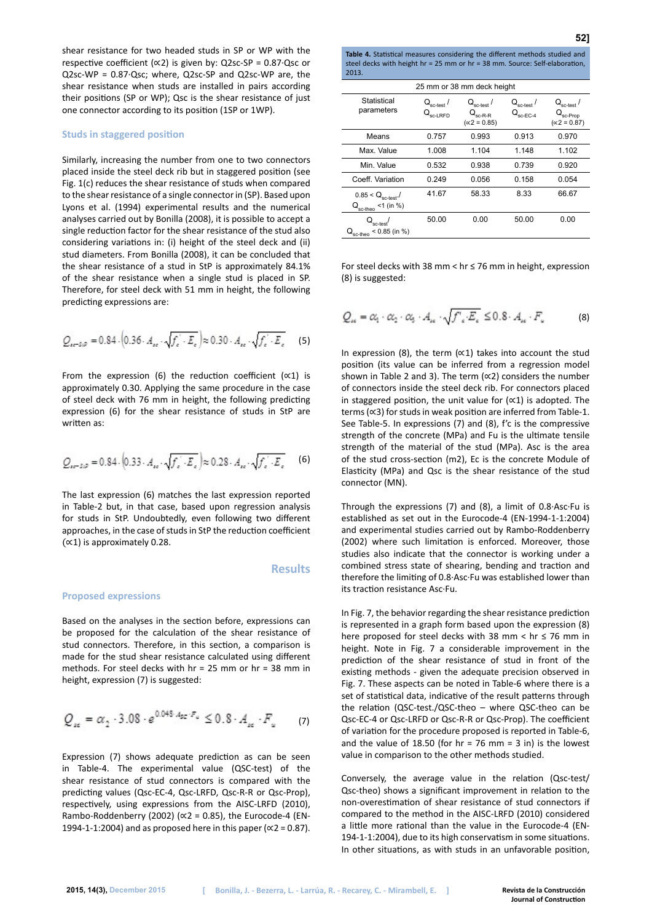shear resistance for two headed studs in SP or WP with the respective coefficient ( $\propto$ 2) is given by: Q2sc-SP = 0.87 $\cdot$ Qsc or Q2sc-WP = 0.87·Qsc; where, Q2sc-SP and Q2sc-WP are, the shear resistance when studs are installed in pairs according their positions (SP or WP); Qsc is the shear resistance of just one connector according to its position (1SP or 1WP).

#### **Studs in staggered position**

Similarly, increasing the number from one to two connectors placed inside the steel deck rib but in staggered position (see Fig. 1(c) reduces the shear resistance of studs when compared to the shear resistance of a single connector in (SP). Based upon Lyons et al. (1994) experimental results and the numerical analyses carried out by Bonilla (2008), it is possible to accept a single reduction factor for the shear resistance of the stud also considering variations in: (i) height of the steel deck and (ii) stud diameters. From Bonilla (2008), it can be concluded that the shear resistance of a stud in StP is approximately 84.1% of the shear resistance when a single stud is placed in SP. Therefore, for steel deck with 51 mm in height, the following predicting expressions are:

$$
Q_{\text{ref-SD}} = 0.84 \cdot \left(0.36 \cdot A_{\text{re}} \cdot \sqrt{f_{\text{e}} \cdot E_{\text{e}}}\right) \approx 0.30 \cdot A_{\text{re}} \cdot \sqrt{f_{\text{e}} \cdot E_{\text{e}}}
$$
 (5)

From the expression (6) the reduction coefficient (∝1) is approximately 0.30. Applying the same procedure in the case of steel deck with 76 mm in height, the following predicting expression (6) for the shear resistance of studs in StP are written as:

$$
Q_{se-SiP} = 0.84 \cdot \left(0.33 \cdot A_{se} \cdot \sqrt{f_e \cdot E_e}\right) \approx 0.28 \cdot A_{se} \cdot \sqrt{f_e \cdot E_e} \tag{6}
$$

The last expression (6) matches the last expression reported in Table-2 but, in that case, based upon regression analysis for studs in StP. Undoubtedly, even following two different approaches, in the case of studs in StP the reduction coefficient (∝1) is approximately 0.28.

#### **Results**

#### **Proposed expressions**

Based on the analyses in the section before, expressions can be proposed for the calculation of the shear resistance of stud connectors. Therefore, in this section, a comparison is made for the stud shear resistance calculated using different methods. For steel decks with hr = 25 mm or hr = 38 mm in height, expression (7) is suggested:

$$
Q_{sc} = \alpha_2 \cdot 3.08 \cdot e^{0.048 \cdot A_{SC} \cdot F_u} \leq 0.8 \cdot A_{sc} \cdot F_u \qquad (7)
$$

Expression (7) shows adequate prediction as can be seen in Table-4. The experimental value (QSC-test) of the shear resistance of stud connectors is compared with the predicting values (Qsc-EC-4, Qsc-LRFD, Qsc-R-R or Qsc-Prop), respectively, using expressions from the AISC-LRFD (2010), Rambo-Roddenberry (2002) ( $\propto$ 2 = 0.85), the Eurocode-4 (EN-1994-1-1:2004) and as proposed here in this paper ( $\alpha$ 2 = 0.87). **Table 4.** Statistical measures considering the different methods studied and steel decks with height hr = 25 mm or hr = 38 mm. Source: Self-elaboration, 2013.

| 25 mm or 38 mm deck height                                                |                                                      |                                                         |                                                        |                                                           |  |  |  |  |
|---------------------------------------------------------------------------|------------------------------------------------------|---------------------------------------------------------|--------------------------------------------------------|-----------------------------------------------------------|--|--|--|--|
| Statistical<br>parameters                                                 | $\mathsf{Q}_{\mathsf{sc}\text{-test}}$ /<br>sc-I RFD | $Q_{\rm sc-test}$ /<br>$sc-R-R$<br>$(\propto 2 = 0.85)$ | $Q_{\rm sc-test}$ /<br>$Q_{\rm sc\text{-}EC\text{-}4}$ | $Q_{\text{sc-test}}$ /<br>sc-Prop<br>$(\propto 2 = 0.87)$ |  |  |  |  |
| Means                                                                     | 0.757                                                | 0.993                                                   | 0.913                                                  | 0.970                                                     |  |  |  |  |
| Max. Value                                                                | 1.008                                                | 1.104                                                   | 1.148                                                  | 1.102                                                     |  |  |  |  |
| Min. Value                                                                | 0.532                                                | 0.938                                                   | 0.739                                                  | 0.920                                                     |  |  |  |  |
| Coeff. Variation                                                          | 0.249                                                | 0.056                                                   | 0.158                                                  | 0.054                                                     |  |  |  |  |
| $0.85 < Q_{\text{sc-test}}$ .<br>$<$ 1 (in %)<br>$Q_{\rm sc\text{-}theo}$ | 41.67                                                | 58.33                                                   | 8.33                                                   | 66.67                                                     |  |  |  |  |
| sc-test <sup>1</sup><br>$< 0.85$ (in %)<br>sc-theo                        | 50.00                                                | 0.00                                                    | 50.00                                                  | 0.00                                                      |  |  |  |  |

For steel decks with 38 mm < hr ≤ 76 mm in height, expression (8) is suggested:

$$
Q_{\rm sc} = \alpha_{\rm 1} \cdot \alpha_{\rm 2} \cdot \alpha_{\rm 5} \cdot A_{\rm sc} \cdot \sqrt{f'_{\rm c} \cdot E_{\rm c}} \leq 0.8 \cdot A_{\rm sc} \cdot F_{\rm c} \tag{8}
$$

In expression (8), the term (∝1) takes into account the stud position (its value can be inferred from a regression model shown in Table 2 and 3). The term (∝2) considers the number of connectors inside the steel deck rib. For connectors placed in staggered position, the unit value for (∝1) is adopted. The terms (∝3) for studs in weak position are inferred from Table-1. See Table-5. In expressions (7) and (8), f'c is the compressive strength of the concrete (MPa) and Fu is the ultimate tensile strength of the material of the stud (MPa). Asc is the area of the stud cross-section (m2), Ec is the concrete Module of Elasticity (MPa) and Qsc is the shear resistance of the stud connector (MN).

Through the expressions (7) and (8), a limit of 0.8·Asc·Fu is established as set out in the Eurocode-4 (EN-1994-1-1:2004) and experimental studies carried out by Rambo-Roddenberry (2002) where such limitation is enforced. Moreover, those studies also indicate that the connector is working under a combined stress state of shearing, bending and traction and therefore the limiting of 0.8·Asc·Fu was established lower than its traction resistance Asc·Fu.

In Fig. 7, the behavior regarding the shear resistance prediction is represented in a graph form based upon the expression (8) here proposed for steel decks with 38 mm < hr ≤ 76 mm in height. Note in Fig. 7 a considerable improvement in the prediction of the shear resistance of stud in front of the existing methods - given the adequate precision observed in Fig. 7. These aspects can be noted in Table-6 where there is a set of statistical data, indicative of the result patterns through the relation (QSC-test./QSC-theo – where QSC-theo can be Qsc-EC-4 or Qsc-LRFD or Qsc-R-R or Qsc-Prop). The coefficient of variation for the procedure proposed is reported in Table-6, and the value of 18.50 (for  $hr = 76$  mm = 3 in) is the lowest value in comparison to the other methods studied.

Conversely, the average value in the relation (Qsc-test/ Qsc-theo) shows a significant improvement in relation to the non-overestimation of shear resistance of stud connectors if compared to the method in the AISC-LRFD (2010) considered a little more rational than the value in the Eurocode-4 (EN-194-1-1:2004), due to its high conservatism in some situations. In other situations, as with studs in an unfavorable position,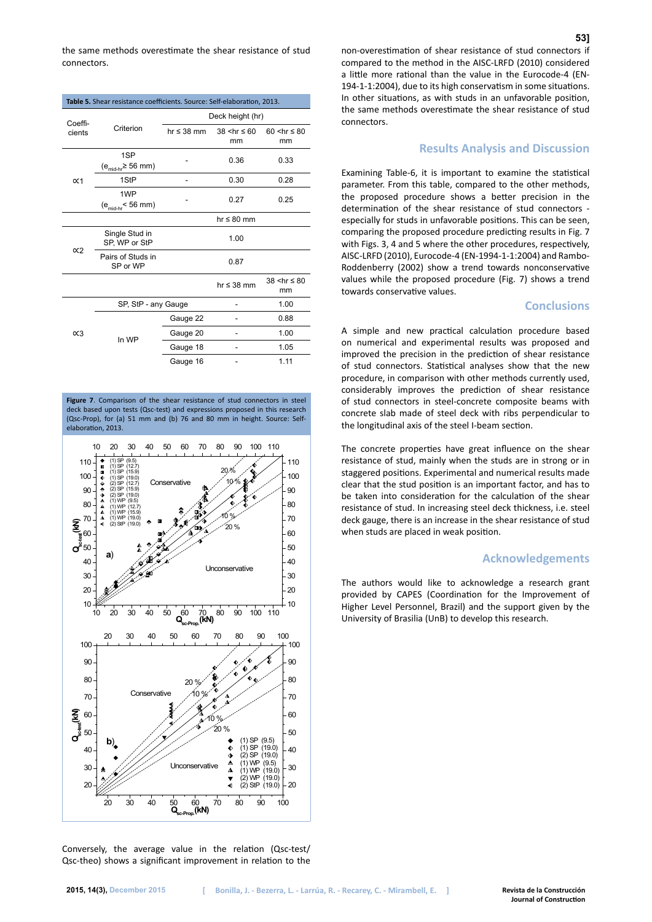the same methods overestimate the shear resistance of stud connectors.

| Table 5. Shear resistance coefficients. Source: Self-elaboration, 2013. |                                                 |                  |                                   |                                   |  |  |  |
|-------------------------------------------------------------------------|-------------------------------------------------|------------------|-----------------------------------|-----------------------------------|--|--|--|
| Coeffi-                                                                 |                                                 | Deck height (hr) |                                   |                                   |  |  |  |
| cients                                                                  | Criterion                                       | $hr \leq 38$ mm  | $38$ <hr <math=""/> \leq 60<br>mm | $60$ <hr <math=""/> \leq 80<br>mm |  |  |  |
|                                                                         | 1SP<br>$(e_{mid\text{-}hr} \geq 56 \text{ mm})$ |                  | 0.36                              | 0.33                              |  |  |  |
| $\alpha$ 1                                                              | 1StP                                            |                  | 0.30                              | 0.28                              |  |  |  |
|                                                                         | 1WP<br>$(emid-hr< 56 mm)$                       |                  | 0.27                              | 0.25                              |  |  |  |
|                                                                         |                                                 |                  | $hr \leq 80$ mm                   |                                   |  |  |  |
| $\propto$ 2                                                             | Single Stud in<br>SP, WP or StP                 |                  | 1.00                              |                                   |  |  |  |
|                                                                         | Pairs of Studs in<br>SP or WP                   |                  | 0.87                              |                                   |  |  |  |
|                                                                         |                                                 |                  | $hr \leq 38$ mm                   | $38 < hr \leq 80$<br>mm           |  |  |  |
| $\alpha$ 3                                                              | SP, StP - any Gauge                             |                  |                                   | 1.00                              |  |  |  |
|                                                                         |                                                 | Gauge 22         | ۰                                 | 0.88                              |  |  |  |
|                                                                         | In WP                                           | Gauge 20         |                                   | 1.00                              |  |  |  |
|                                                                         |                                                 | Gauge 18         |                                   | 1.05                              |  |  |  |
|                                                                         |                                                 | Gauge 16         |                                   | 1.11                              |  |  |  |

**Figure 7**. Comparison of the shear resistance of stud connectors in steel deck based upon tests (Qsc-test) and expressions proposed in this research (Qsc-Prop), for (a) 51 mm and (b) 76 and 80 mm in height. Source: Selfelaboration, 2013.



Conversely, the average value in the relation (Qsc-test/ Qsc-theo) shows a significant improvement in relation to the non-overestimation of shear resistance of stud connectors if compared to the method in the AISC-LRFD (2010) considered a little more rational than the value in the Eurocode-4 (EN-194-1-1:2004), due to its high conservatism in some situations. In other situations, as with studs in an unfavorable position, the same methods overestimate the shear resistance of stud connectors.

# **Results Analysis and Discussion**

Examining Table-6, it is important to examine the statistical parameter. From this table, compared to the other methods, the proposed procedure shows a better precision in the determination of the shear resistance of stud connectors especially for studs in unfavorable positions. This can be seen, comparing the proposed procedure predicting results in Fig. 7 with Figs. 3, 4 and 5 where the other procedures, respectively, AISC-LRFD (2010), Eurocode-4 (EN-1994-1-1:2004) and Rambo-Roddenberry (2002) show a trend towards nonconservative values while the proposed procedure (Fig. 7) shows a trend towards conservative values.

# **Conclusions**

A simple and new practical calculation procedure based on numerical and experimental results was proposed and improved the precision in the prediction of shear resistance of stud connectors. Statistical analyses show that the new procedure, in comparison with other methods currently used, considerably improves the prediction of shear resistance of stud connectors in steel-concrete composite beams with concrete slab made of steel deck with ribs perpendicular to the longitudinal axis of the steel I-beam section.

The concrete properties have great influence on the shear resistance of stud, mainly when the studs are in strong or in staggered positions. Experimental and numerical results made clear that the stud position is an important factor, and has to be taken into consideration for the calculation of the shear resistance of stud. In increasing steel deck thickness, i.e. steel deck gauge, there is an increase in the shear resistance of stud when studs are placed in weak position.

# **Acknowledgements**

The authors would like to acknowledge a research grant provided by CAPES (Coordination for the Improvement of Higher Level Personnel, Brazil) and the support given by the University of Brasilia (UnB) to develop this research.